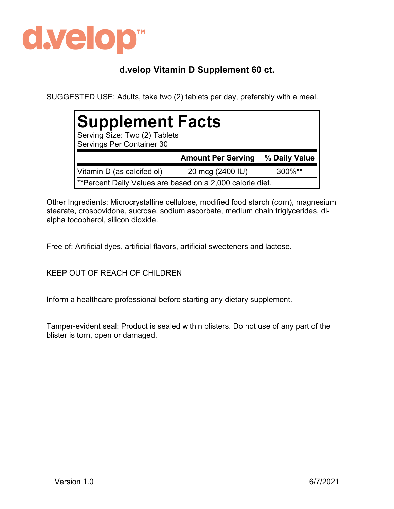

## **d.velop Vitamin D Supplement 60 ct.**

SUGGESTED USE: Adults, take two (2) tablets per day, preferably with a meal.

| <b>Supplement Facts</b><br>Serving Size: Two (2) Tablets<br>Servings Per Container 30 |                           |               |  |  |
|---------------------------------------------------------------------------------------|---------------------------|---------------|--|--|
|                                                                                       | <b>Amount Per Serving</b> | % Daily Value |  |  |
| Vitamin D (as calcifediol)                                                            | 20 mcg (2400 IU)          | $300\%$ **    |  |  |
| **Percent Daily Values are based on a 2,000 calorie diet.                             |                           |               |  |  |

Other Ingredients: Microcrystalline cellulose, modified food starch (corn), magnesium stearate, crospovidone, sucrose, sodium ascorbate, medium chain triglycerides, dlalpha tocopherol, silicon dioxide.

Free of: Artificial dyes, artificial flavors, artificial sweeteners and lactose.

KEEP OUT OF REACH OF CHILDREN

Inform a healthcare professional before starting any dietary supplement.

Tamper-evident seal: Product is sealed within blisters. Do not use of any part of the blister is torn, open or damaged.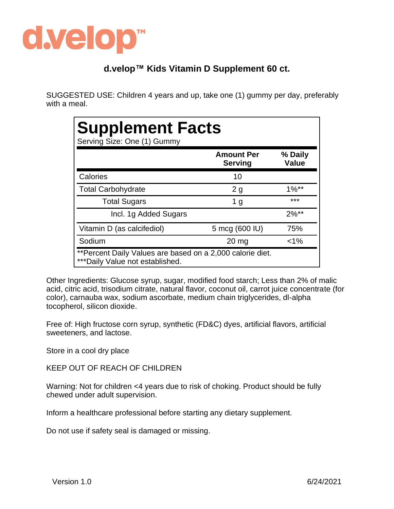

## **d.velop™ Kids Vitamin D Supplement 60 ct.**

SUGGESTED USE: Children 4 years and up, take one (1) gummy per day, preferably with a meal.

| <b>Supplement Facts</b><br>Serving Size: One (1) Gummy |                                     |                         |  |
|--------------------------------------------------------|-------------------------------------|-------------------------|--|
|                                                        | <b>Amount Per</b><br><b>Serving</b> | % Daily<br><b>Value</b> |  |
| Calories                                               | 10                                  |                         |  |
| <b>Total Carbohydrate</b>                              | 2g                                  | $1\%**$                 |  |
| <b>Total Sugars</b>                                    | 1 <sub>g</sub>                      | ***                     |  |
| Incl. 1g Added Sugars                                  |                                     | $2\%**$                 |  |
| Vitamin D (as calcifediol)                             | 5 mcg (600 IU)                      | 75%                     |  |
| Sodium                                                 | $20 \mathrm{mg}$                    | $< 1\%$                 |  |

Other Ingredients: Glucose syrup, sugar, modified food starch; Less than 2% of malic acid, citric acid, trisodium citrate, natural flavor, coconut oil, carrot juice concentrate (for color), carnauba wax, sodium ascorbate, medium chain triglycerides, dl-alpha tocopherol, silicon dioxide.

Free of: High fructose corn syrup, synthetic (FD&C) dyes, artificial flavors, artificial sweeteners, and lactose.

Store in a cool dry place

KEEP OUT OF REACH OF CHILDREN

Warning: Not for children <4 years due to risk of choking. Product should be fully chewed under adult supervision.

Inform a healthcare professional before starting any dietary supplement.

Do not use if safety seal is damaged or missing.